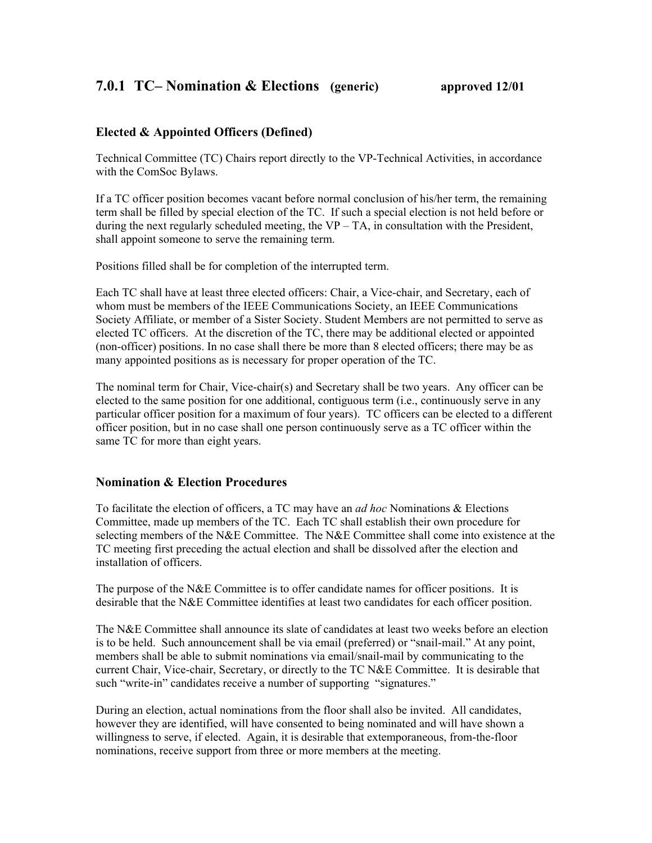## **Elected & Appointed Officers (Defined)**

Technical Committee (TC) Chairs report directly to the VP-Technical Activities, in accordance with the ComSoc Bylaws.

If a TC officer position becomes vacant before normal conclusion of his/her term, the remaining term shall be filled by special election of the TC. If such a special election is not held before or during the next regularly scheduled meeting, the VP – TA, in consultation with the President, shall appoint someone to serve the remaining term.

Positions filled shall be for completion of the interrupted term.

Each TC shall have at least three elected officers: Chair, a Vice-chair, and Secretary, each of whom must be members of the IEEE Communications Society, an IEEE Communications Society Affiliate, or member of a Sister Society. Student Members are not permitted to serve as elected TC officers. At the discretion of the TC, there may be additional elected or appointed (non-officer) positions. In no case shall there be more than 8 elected officers; there may be as many appointed positions as is necessary for proper operation of the TC.

The nominal term for Chair, Vice-chair(s) and Secretary shall be two years. Any officer can be elected to the same position for one additional, contiguous term (i.e., continuously serve in any particular officer position for a maximum of four years). TC officers can be elected to a different officer position, but in no case shall one person continuously serve as a TC officer within the same TC for more than eight years.

## **Nomination & Election Procedures**

To facilitate the election of officers, a TC may have an *ad hoc* Nominations & Elections Committee, made up members of the TC. Each TC shall establish their own procedure for selecting members of the N&E Committee. The N&E Committee shall come into existence at the TC meeting first preceding the actual election and shall be dissolved after the election and installation of officers.

The purpose of the N&E Committee is to offer candidate names for officer positions. It is desirable that the N&E Committee identifies at least two candidates for each officer position.

The N&E Committee shall announce its slate of candidates at least two weeks before an election is to be held. Such announcement shall be via email (preferred) or "snail-mail." At any point, members shall be able to submit nominations via email/snail-mail by communicating to the current Chair, Vice-chair, Secretary, or directly to the TC N&E Committee. It is desirable that such "write-in" candidates receive a number of supporting "signatures."

During an election, actual nominations from the floor shall also be invited. All candidates, however they are identified, will have consented to being nominated and will have shown a willingness to serve, if elected. Again, it is desirable that extemporaneous, from-the-floor nominations, receive support from three or more members at the meeting.